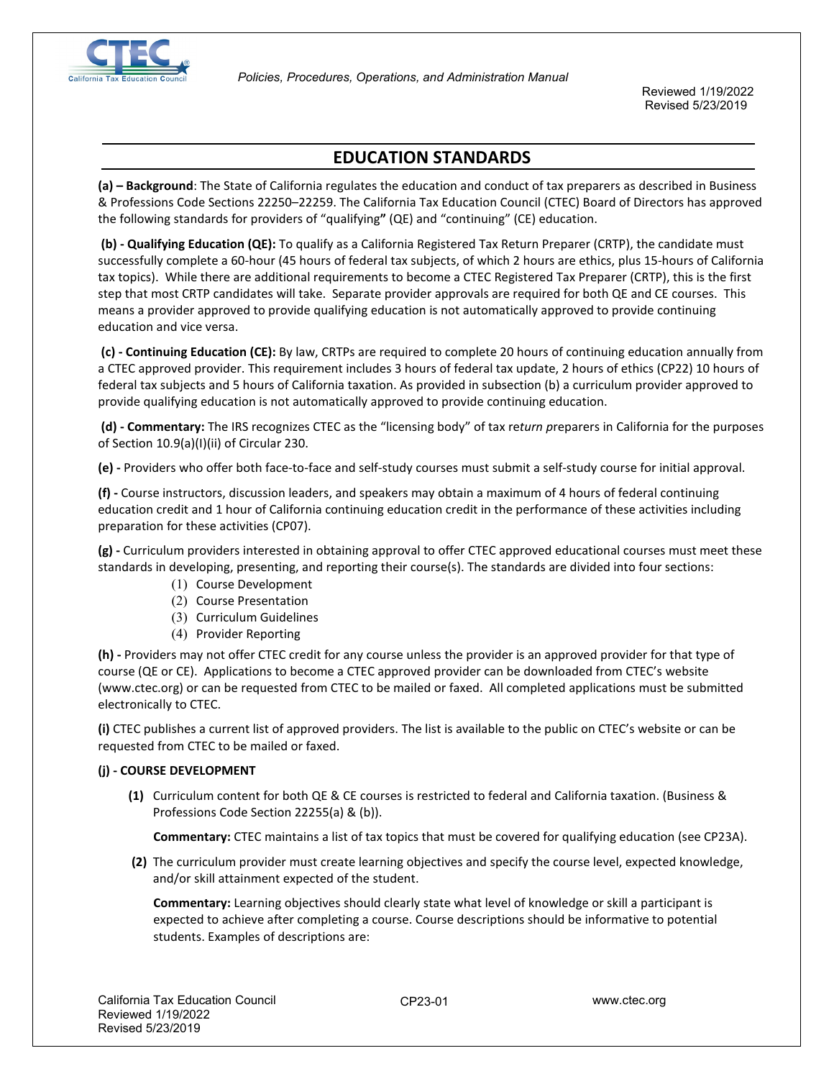

Reviewed 1/19/2022 Revised 5/23/2019

# **EDUCATION STANDARDS**

**(a) – Background**: The State of California regulates the education and conduct of tax preparers as described in Business & Professions Code Sections 22250–22259. The California Tax Education Council (CTEC) Board of Directors has approved the following standards for providers of "qualifying**"** (QE) and "continuing" (CE) education.

**(b) - Qualifying Education (QE):** To qualify as a California Registered Tax Return Preparer (CRTP), the candidate must successfully complete a 60-hour (45 hours of federal tax subjects, of which 2 hours are ethics, plus 15-hours of California tax topics). While there are additional requirements to become a CTEC Registered Tax Preparer (CRTP), this is the first step that most CRTP candidates will take. Separate provider approvals are required for both QE and CE courses. This means a provider approved to provide qualifying education is not automatically approved to provide continuing education and vice versa.

**(c) - Continuing Education (CE):** By law, CRTPs are required to complete 20 hours of continuing education annually from a CTEC approved provider. This requirement includes 3 hours of federal tax update, 2 hours of ethics (CP22) 10 hours of federal tax subjects and 5 hours of California taxation. As provided in subsection (b) a curriculum provider approved to provide qualifying education is not automatically approved to provide continuing education.

**(d) - Commentary:** The IRS recognizes CTEC as the "licensing body" of tax re*turn p*reparers in California for the purposes of Section 10.9(a)(I)(ii) of Circular 230.

**(e) -** Providers who offer both face-to-face and self-study courses must submit a self-study course for initial approval.

**(f) -** Course instructors, discussion leaders, and speakers may obtain a maximum of 4 hours of federal continuing education credit and 1 hour of California continuing education credit in the performance of these activities including preparation for these activities (CP07).

**(g) -** Curriculum providers interested in obtaining approval to offer CTEC approved educational courses must meet these standards in developing, presenting, and reporting their course(s). The standards are divided into four sections:

- (1) Course Development
- (2) Course Presentation
- (3) Curriculum Guidelines
- (4) Provider Reporting

**(h) -** Providers may not offer CTEC credit for any course unless the provider is an approved provider for that type of course (QE or CE). Applications to become a CTEC approved provider can be downloaded from CTEC's website (www.ctec.org) or can be requested from CTEC to be mailed or faxed. All completed applications must be submitted electronically to CTEC.

**(i)** CTEC publishes a current list of approved providers. The list is available to the public on CTEC's website or can be requested from CTEC to be mailed or faxed.

## **(j) - COURSE DEVELOPMENT**

**(1)** Curriculum content for both QE & CE courses is restricted to federal and California taxation. (Business & Professions Code Section 22255(a) & (b)).

**Commentary:** CTEC maintains a list of tax topics that must be covered for qualifying education (see CP23A).

**(2)** The curriculum provider must create learning objectives and specify the course level, expected knowledge, and/or skill attainment expected of the student.

**Commentary:** Learning objectives should clearly state what level of knowledge or skill a participant is expected to achieve after completing a course. Course descriptions should be informative to potential students. Examples of descriptions are: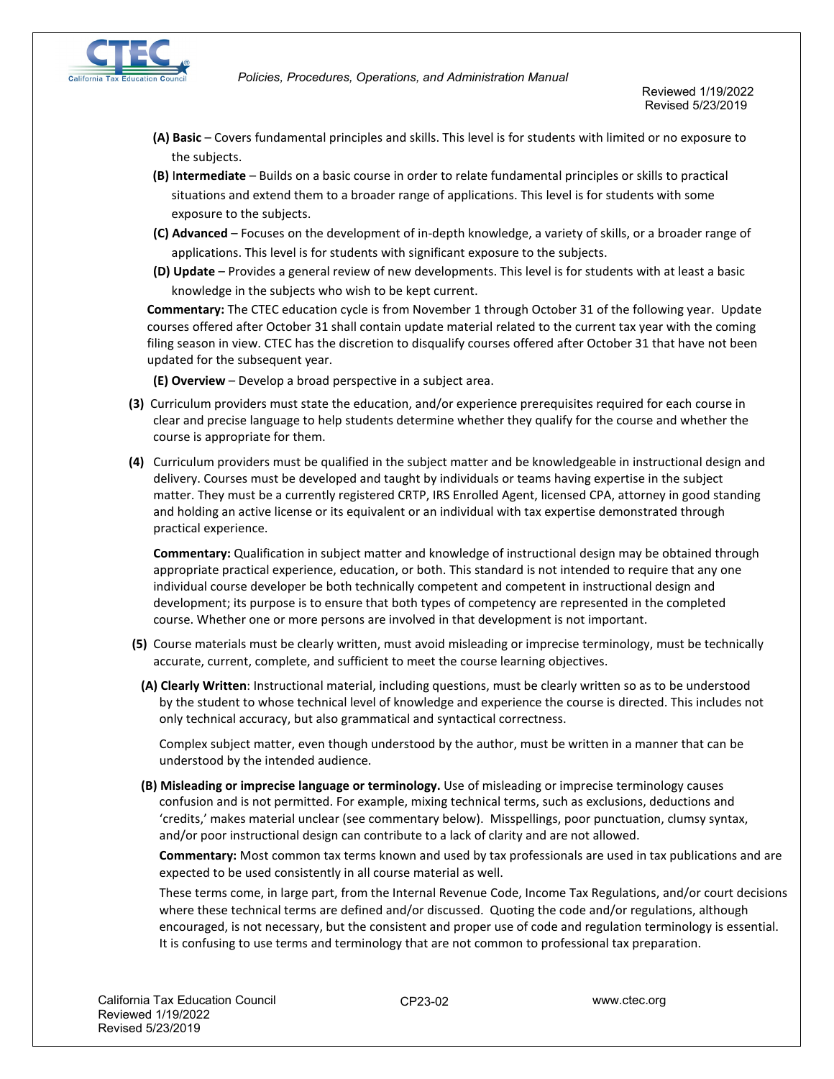

- **(A) Basic** Covers fundamental principles and skills. This level is for students with limited or no exposure to the subjects.
- **(B)** I**ntermediate** Builds on a basic course in order to relate fundamental principles or skills to practical situations and extend them to a broader range of applications. This level is for students with some exposure to the subjects.
- **(C) Advanced** Focuses on the development of in-depth knowledge, a variety of skills, or a broader range of applications. This level is for students with significant exposure to the subjects.
- **(D) Update** Provides a general review of new developments. This level is for students with at least a basic knowledge in the subjects who wish to be kept current.

**Commentary:** The CTEC education cycle is from November 1 through October 31 of the following year. Update courses offered after October 31 shall contain update material related to the current tax year with the coming filing season in view. CTEC has the discretion to disqualify courses offered after October 31 that have not been updated for the subsequent year.

**(E) Overview** – Develop a broad perspective in a subject area.

- **(3)** Curriculum providers must state the education, and/or experience prerequisites required for each course in clear and precise language to help students determine whether they qualify for the course and whether the course is appropriate for them.
- **(4)** Curriculum providers must be qualified in the subject matter and be knowledgeable in instructional design and delivery. Courses must be developed and taught by individuals or teams having expertise in the subject matter. They must be a currently registered CRTP, IRS Enrolled Agent, licensed CPA, attorney in good standing and holding an active license or its equivalent or an individual with tax expertise demonstrated through practical experience.

**Commentary:** Qualification in subject matter and knowledge of instructional design may be obtained through appropriate practical experience, education, or both. This standard is not intended to require that any one individual course developer be both technically competent and competent in instructional design and development; its purpose is to ensure that both types of competency are represented in the completed course. Whether one or more persons are involved in that development is not important.

- **(5)** Course materials must be clearly written, must avoid misleading or imprecise terminology, must be technically accurate, current, complete, and sufficient to meet the course learning objectives.
	- **(A) Clearly Written**: Instructional material, including questions, must be clearly written so as to be understood by the student to whose technical level of knowledge and experience the course is directed. This includes not only technical accuracy, but also grammatical and syntactical correctness.

Complex subject matter, even though understood by the author, must be written in a manner that can be understood by the intended audience.

**(B) Misleading or imprecise language or terminology.** Use of misleading or imprecise terminology causes confusion and is not permitted. For example, mixing technical terms, such as exclusions, deductions and 'credits,' makes material unclear (see commentary below). Misspellings, poor punctuation, clumsy syntax, and/or poor instructional design can contribute to a lack of clarity and are not allowed.

**Commentary:** Most common tax terms known and used by tax professionals are used in tax publications and are expected to be used consistently in all course material as well.

These terms come, in large part, from the Internal Revenue Code, Income Tax Regulations, and/or court decisions where these technical terms are defined and/or discussed. Quoting the code and/or regulations, although encouraged, is not necessary, but the consistent and proper use of code and regulation terminology is essential. It is confusing to use terms and terminology that are not common to professional tax preparation.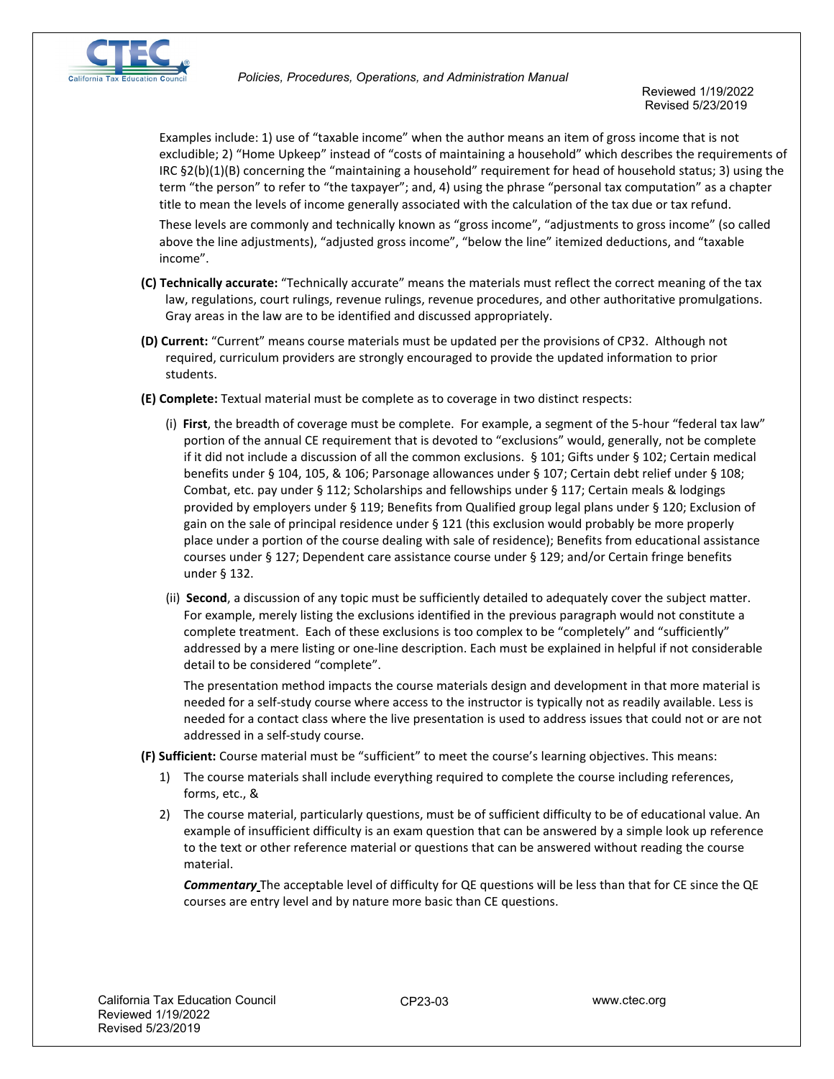

Reviewed 1/19/2022 Revised 5/23/2019

Examples include: 1) use of "taxable income" when the author means an item of gross income that is not excludible; 2) "Home Upkeep" instead of "costs of maintaining a household" which describes the requirements of IRC §2(b)(1)(B) concerning the "maintaining a household" requirement for head of household status; 3) using the term "the person" to refer to "the taxpayer"; and, 4) using the phrase "personal tax computation" as a chapter title to mean the levels of income generally associated with the calculation of the tax due or tax refund.

These levels are commonly and technically known as "gross income", "adjustments to gross income" (so called above the line adjustments), "adjusted gross income", "below the line" itemized deductions, and "taxable income".

- **(C) Technically accurate:** "Technically accurate" means the materials must reflect the correct meaning of the tax law, regulations, court rulings, revenue rulings, revenue procedures, and other authoritative promulgations. Gray areas in the law are to be identified and discussed appropriately.
- **(D) Current:** "Current" means course materials must be updated per the provisions of CP32. Although not required, curriculum providers are strongly encouraged to provide the updated information to prior students.
- **(E) Complete:** Textual material must be complete as to coverage in two distinct respects:
	- (i) **First**, the breadth of coverage must be complete. For example, a segment of the 5-hour "federal tax law" portion of the annual CE requirement that is devoted to "exclusions" would, generally, not be complete if it did not include a discussion of all the common exclusions. § 101; Gifts under § 102; Certain medical benefits under § 104, 105, & 106; Parsonage allowances under § 107; Certain debt relief under § 108; Combat, etc. pay under § 112; Scholarships and fellowships under § 117; Certain meals & lodgings provided by employers under § 119; Benefits from Qualified group legal plans under § 120; Exclusion of gain on the sale of principal residence under § 121 (this exclusion would probably be more properly place under a portion of the course dealing with sale of residence); Benefits from educational assistance courses under § 127; Dependent care assistance course under § 129; and/or Certain fringe benefits under § 132.
	- (ii) **Second**, a discussion of any topic must be sufficiently detailed to adequately cover the subject matter. For example, merely listing the exclusions identified in the previous paragraph would not constitute a complete treatment. Each of these exclusions is too complex to be "completely" and "sufficiently" addressed by a mere listing or one-line description. Each must be explained in helpful if not considerable detail to be considered "complete".

The presentation method impacts the course materials design and development in that more material is needed for a self-study course where access to the instructor is typically not as readily available. Less is needed for a contact class where the live presentation is used to address issues that could not or are not addressed in a self-study course.

**(F) Sufficient:** Course material must be "sufficient" to meet the course's learning objectives. This means:

- 1) The course materials shall include everything required to complete the course including references, forms, etc., &
- 2) The course material, particularly questions, must be of sufficient difficulty to be of educational value. An example of insufficient difficulty is an exam question that can be answered by a simple look up reference to the text or other reference material or questions that can be answered without reading the course material.

*Commentary* The acceptable level of difficulty for QE questions will be less than that for CE since the QE courses are entry level and by nature more basic than CE questions.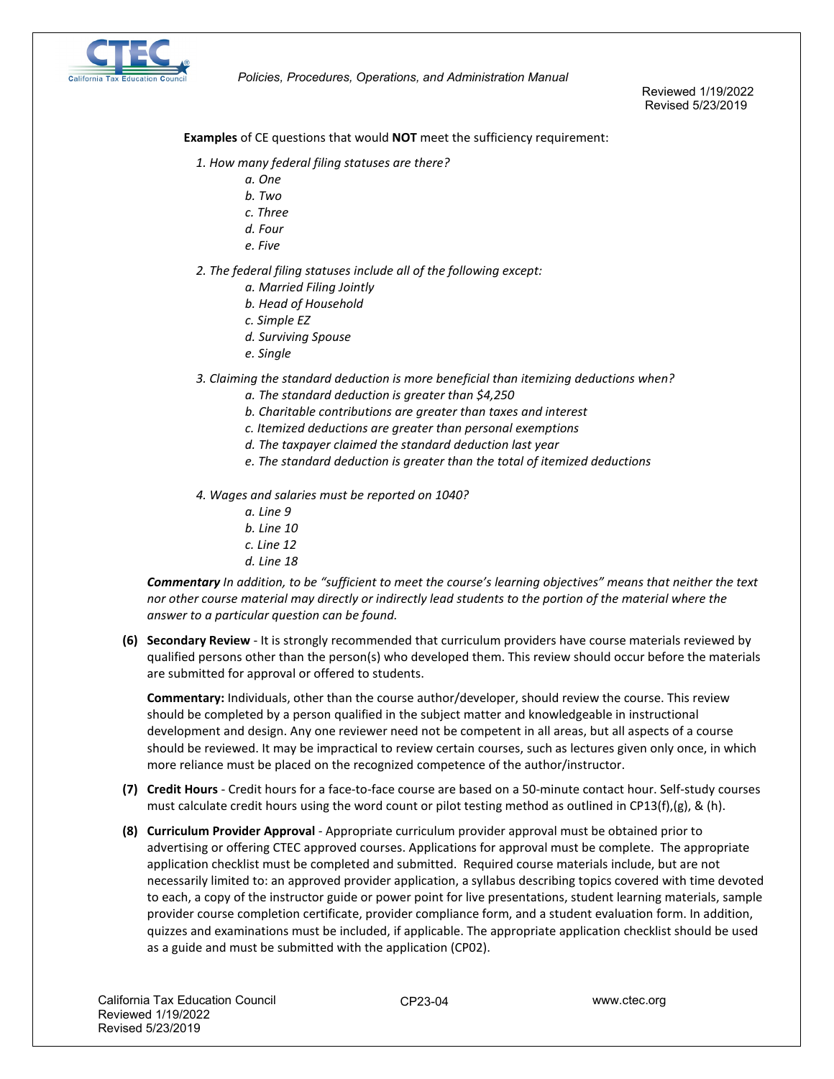

Reviewed 1/19/2022 Revised 5/23/2019

**Examples** of CE questions that would **NOT** meet the sufficiency requirement:

- *1. How many federal filing statuses are there?*
	- *a. One*
	- *b. Two*
	- *c. Three*
	- *d. Four*
	- *e. Five*
- *2. The federal filing statuses include all of the following except:* 
	- *a. Married Filing Jointly*
	- *b. Head of Household*
	- *c. Simple EZ*
	- *d. Surviving Spouse*
	- *e. Single*
- *3. Claiming the standard deduction is more beneficial than itemizing deductions when?*
	- *a. The standard deduction is greater than \$4,250*
	- *b. Charitable contributions are greater than taxes and interest*
	- *c. Itemized deductions are greater than personal exemptions*
	- *d. The taxpayer claimed the standard deduction last year*
	- *e. The standard deduction is greater than the total of itemized deductions*
- *4. Wages and salaries must be reported on 1040?*
	- *a. Line 9*
	- *b. Line 10*
	- *c. Line 12*
	- *d. Line 18*

*Commentary In addition, to be "sufficient to meet the course's learning objectives" means that neither the text nor other course material may directly or indirectly lead students to the portion of the material where the answer to a particular question can be found.* 

**(6) Secondary Review** - It is strongly recommended that curriculum providers have course materials reviewed by qualified persons other than the person(s) who developed them. This review should occur before the materials are submitted for approval or offered to students.

**Commentary:** Individuals, other than the course author/developer, should review the course. This review should be completed by a person qualified in the subject matter and knowledgeable in instructional development and design. Any one reviewer need not be competent in all areas, but all aspects of a course should be reviewed. It may be impractical to review certain courses, such as lectures given only once, in which more reliance must be placed on the recognized competence of the author/instructor.

- **(7) Credit Hours** Credit hours for a face-to-face course are based on a 50-minute contact hour. Self-study courses must calculate credit hours using the word count or pilot testing method as outlined in CP13(f),(g), & (h).
- **(8) Curriculum Provider Approval** Appropriate curriculum provider approval must be obtained prior to advertising or offering CTEC approved courses. Applications for approval must be complete. The appropriate application checklist must be completed and submitted. Required course materials include, but are not necessarily limited to: an approved provider application, a syllabus describing topics covered with time devoted to each, a copy of the instructor guide or power point for live presentations, student learning materials, sample provider course completion certificate, provider compliance form, and a student evaluation form. In addition, quizzes and examinations must be included, if applicable. The appropriate application checklist should be used as a guide and must be submitted with the application (CP02).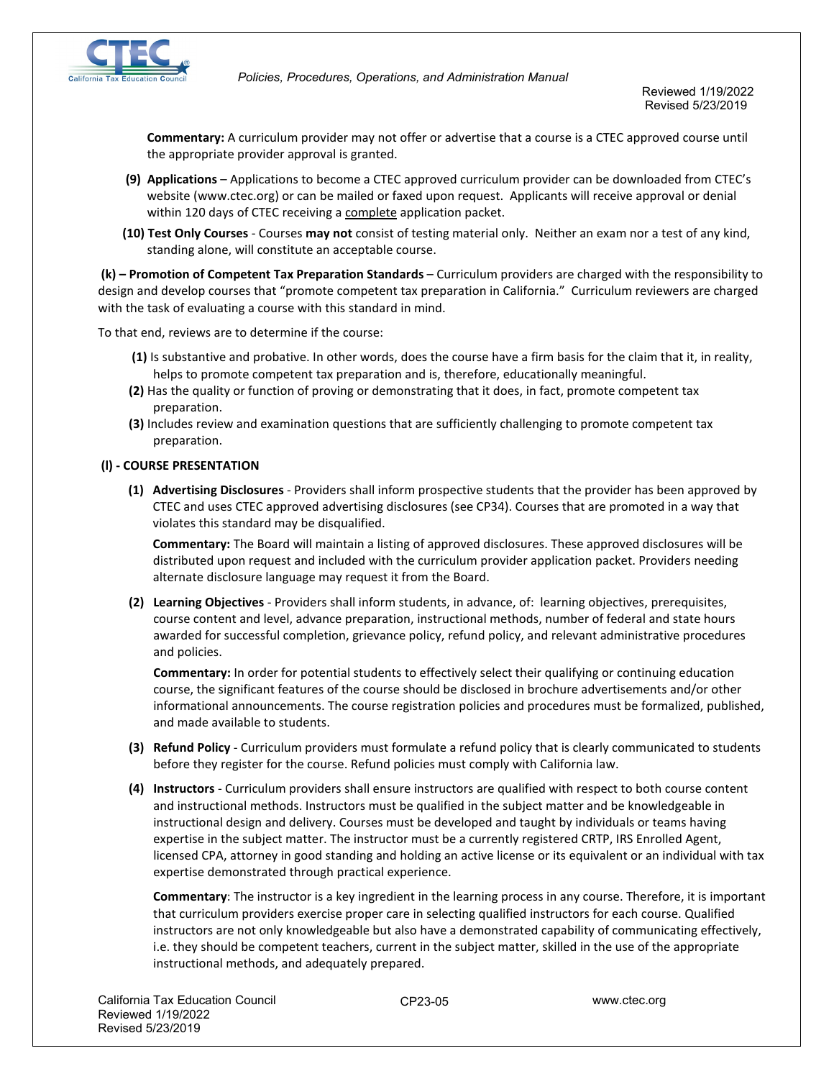

**Commentary:** A curriculum provider may not offer or advertise that a course is a CTEC approved course until the appropriate provider approval is granted.

- **(9) Applications** Applications to become a CTEC approved curriculum provider can be downloaded from CTEC's website (www.ctec.org) or can be mailed or faxed upon request. Applicants will receive approval or denial within 120 days of CTEC receiving a complete application packet.
- **(10) Test Only Courses** Courses **may not** consist of testing material only. Neither an exam nor a test of any kind, standing alone, will constitute an acceptable course.

**(k) – Promotion of Competent Tax Preparation Standards** – Curriculum providers are charged with the responsibility to design and develop courses that "promote competent tax preparation in California." Curriculum reviewers are charged with the task of evaluating a course with this standard in mind.

To that end, reviews are to determine if the course:

- **(1)** Is substantive and probative. In other words, does the course have a firm basis for the claim that it, in reality, helps to promote competent tax preparation and is, therefore, educationally meaningful.
- **(2)** Has the quality or function of proving or demonstrating that it does, in fact, promote competent tax preparation.
- **(3)** Includes review and examination questions that are sufficiently challenging to promote competent tax preparation.

## **(l) - COURSE PRESENTATION**

**(1) Advertising Disclosures** - Providers shall inform prospective students that the provider has been approved by CTEC and uses CTEC approved advertising disclosures (see CP34). Courses that are promoted in a way that violates this standard may be disqualified.

**Commentary:** The Board will maintain a listing of approved disclosures. These approved disclosures will be distributed upon request and included with the curriculum provider application packet. Providers needing alternate disclosure language may request it from the Board.

**(2) Learning Objectives** - Providers shall inform students, in advance, of: learning objectives, prerequisites, course content and level, advance preparation, instructional methods, number of federal and state hours awarded for successful completion, grievance policy, refund policy, and relevant administrative procedures and policies.

**Commentary:** In order for potential students to effectively select their qualifying or continuing education course, the significant features of the course should be disclosed in brochure advertisements and/or other informational announcements. The course registration policies and procedures must be formalized, published, and made available to students.

- **(3) Refund Policy** Curriculum providers must formulate a refund policy that is clearly communicated to students before they register for the course. Refund policies must comply with California law.
- **(4) Instructors** Curriculum providers shall ensure instructors are qualified with respect to both course content and instructional methods. Instructors must be qualified in the subject matter and be knowledgeable in instructional design and delivery. Courses must be developed and taught by individuals or teams having expertise in the subject matter. The instructor must be a currently registered CRTP, IRS Enrolled Agent, licensed CPA, attorney in good standing and holding an active license or its equivalent or an individual with tax expertise demonstrated through practical experience.

**Commentary**: The instructor is a key ingredient in the learning process in any course. Therefore, it is important that curriculum providers exercise proper care in selecting qualified instructors for each course. Qualified instructors are not only knowledgeable but also have a demonstrated capability of communicating effectively, i.e. they should be competent teachers, current in the subject matter, skilled in the use of the appropriate instructional methods, and adequately prepared.